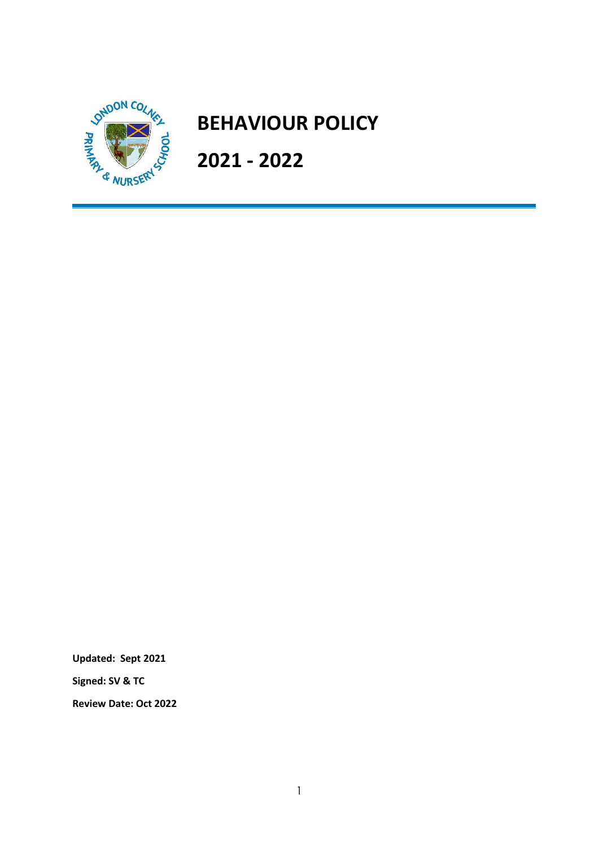

# **BEHAVIOUR POLICY**

**2021 - 2022**

**Updated: Sept 2021**

**Signed: SV & TC**

**Review Date: Oct 2022**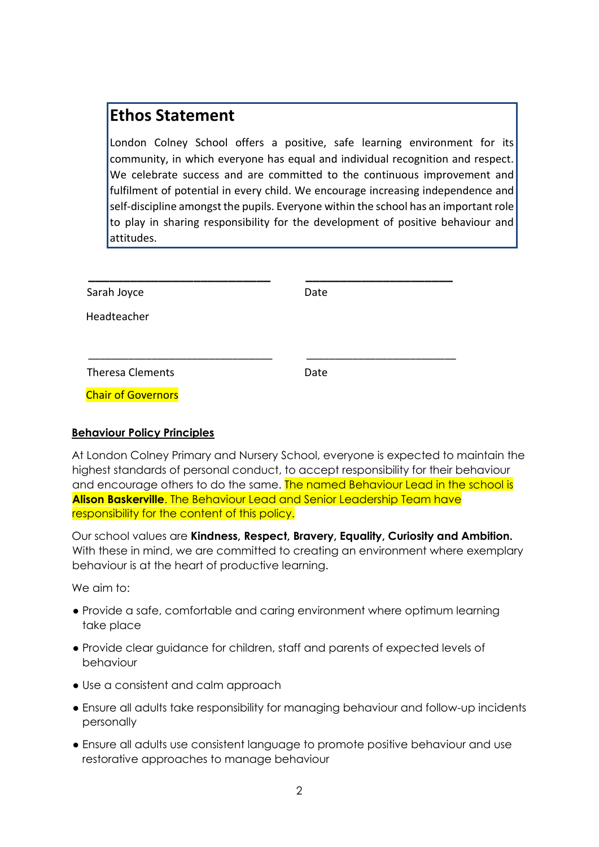# **Ethos Statement**

London Colney School offers a positive, safe learning environment for its community, in which everyone has equal and individual recognition and respect. We celebrate success and are committed to the continuous improvement and fulfilment of potential in every child. We encourage increasing independence and self-discipline amongst the pupils. Everyone within the school has an important role to play in sharing responsibility for the development of positive behaviour and attitudes.

| Sarah Joyce               | Date |  |
|---------------------------|------|--|
| Headteacher               |      |  |
|                           |      |  |
|                           |      |  |
| <b>Theresa Clements</b>   | Date |  |
| <b>Chair of Governors</b> |      |  |

# **Behaviour Policy Principles**

At London Colney Primary and Nursery School, everyone is expected to maintain the highest standards of personal conduct, to accept responsibility for their behaviour and encourage others to do the same. The named Behaviour Lead in the school is **Alison Baskerville**. The Behaviour Lead and Senior Leadership Team have responsibility for the content of this policy.

Our school values are **Kindness, Respect, Bravery, Equality, Curiosity and Ambition.** With these in mind, we are committed to creating an environment where exemplary behaviour is at the heart of productive learning.

We aim to:

- Provide a safe, comfortable and caring environment where optimum learning take place
- Provide clear guidance for children, staff and parents of expected levels of behaviour
- Use a consistent and calm approach
- Ensure all adults take responsibility for managing behaviour and follow-up incidents personally
- Ensure all adults use consistent language to promote positive behaviour and use restorative approaches to manage behaviour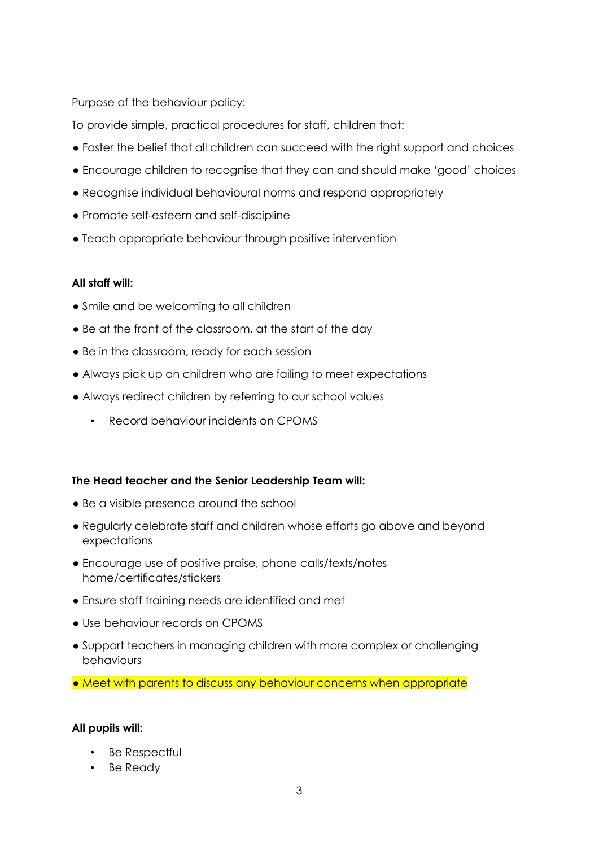Purpose of the behaviour policy:

To provide simple, practical procedures for staff, children that:

- Foster the belief that all children can succeed with the right support and choices
- Encourage children to recognise that they can and should make 'good' choices
- Recognise individual behavioural norms and respond appropriately
- Promote self-esteem and self-discipline
- Teach appropriate behaviour through positive intervention

# **All staff will:**

- Smile and be welcoming to all children
- Be at the front of the classroom, at the start of the day
- Be in the classroom, ready for each session
- Always pick up on children who are failing to meet expectations
- Always redirect children by referring to our school values
	- Record behaviour incidents on CPOMS

# **The Head teacher and the Senior Leadership Team will:**

- Be a visible presence around the school
- Regularly celebrate staff and children whose efforts go above and beyond expectations
- Encourage use of positive praise, phone calls/texts/notes home/certificates/stickers
- Ensure staff training needs are identified and met
- Use behaviour records on CPOMS
- Support teachers in managing children with more complex or challenging behaviours
- Meet with parents to discuss any behaviour concerns when appropriate

# **All pupils will:**

- Be Respectful
- Be Ready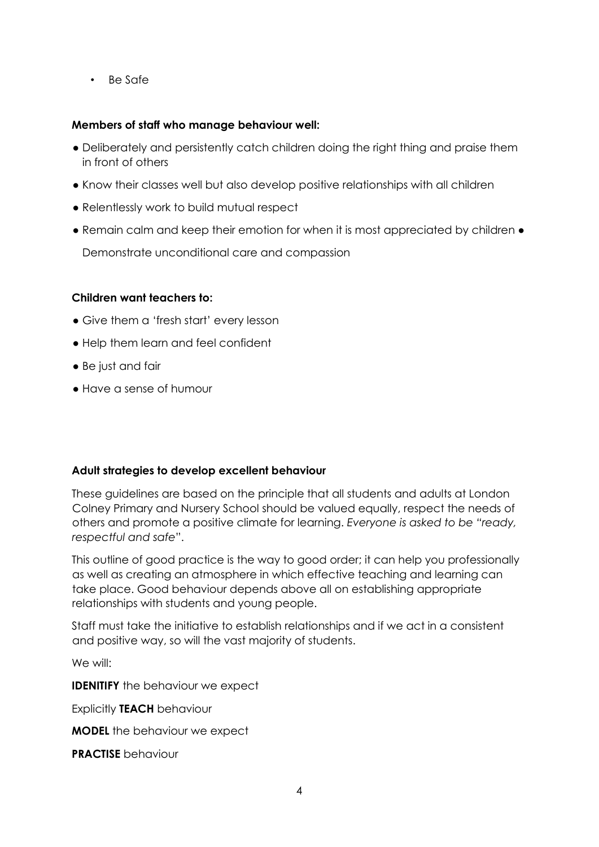• Be Safe

# **Members of staff who manage behaviour well:**

- Deliberately and persistently catch children doing the right thing and praise them in front of others
- Know their classes well but also develop positive relationships with all children
- Relentlessly work to build mutual respect
- Remain calm and keep their emotion for when it is most appreciated by children Demonstrate unconditional care and compassion

# **Children want teachers to:**

- Give them a 'fresh start' every lesson
- Help them learn and feel confident
- Be just and fair
- Have a sense of humour

# **Adult strategies to develop excellent behaviour**

These guidelines are based on the principle that all students and adults at London Colney Primary and Nursery School should be valued equally, respect the needs of others and promote a positive climate for learning. *Everyone is asked to be "ready, respectful and safe*".

This outline of good practice is the way to good order; it can help you professionally as well as creating an atmosphere in which effective teaching and learning can take place. Good behaviour depends above all on establishing appropriate relationships with students and young people.

Staff must take the initiative to establish relationships and if we act in a consistent and positive way, so will the vast majority of students.

We will:

**IDENITIFY** the behaviour we expect

Explicitly **TEACH** behaviour

**MODEL** the behaviour we expect

**PRACTISE** behaviour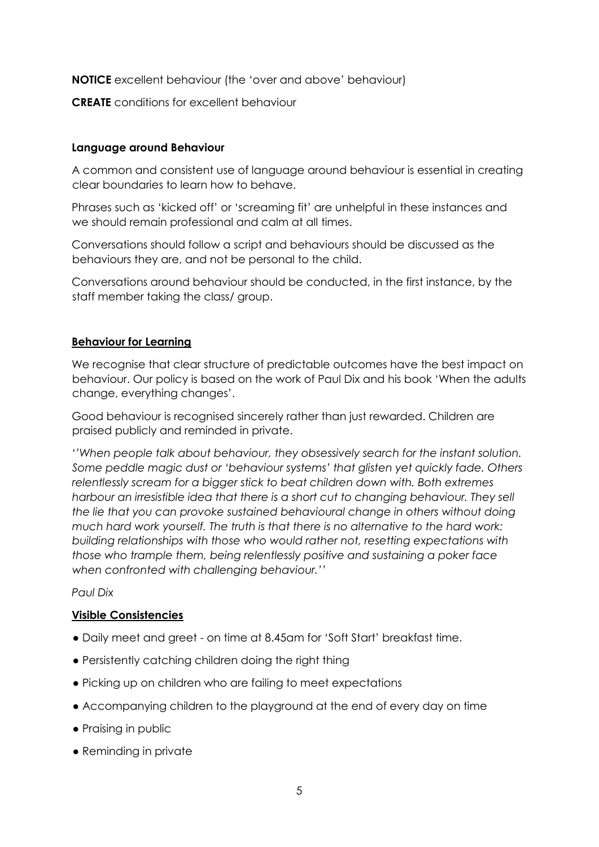**NOTICE** excellent behaviour (the 'over and above' behaviour)

**CREATE** conditions for excellent behaviour

#### **Language around Behaviour**

A common and consistent use of language around behaviour is essential in creating clear boundaries to learn how to behave.

Phrases such as 'kicked off' or 'screaming fit' are unhelpful in these instances and we should remain professional and calm at all times.

Conversations should follow a script and behaviours should be discussed as the behaviours they are, and not be personal to the child.

Conversations around behaviour should be conducted, in the first instance, by the staff member taking the class/ group.

#### **Behaviour for Learning**

We recognise that clear structure of predictable outcomes have the best impact on behaviour. Our policy is based on the work of Paul Dix and his book 'When the adults change, everything changes'.

Good behaviour is recognised sincerely rather than just rewarded. Children are praised publicly and reminded in private.

*''When people talk about behaviour, they obsessively search for the instant solution. Some peddle magic dust or 'behaviour systems' that glisten yet quickly fade. Others relentlessly scream for a bigger stick to beat children down with. Both extremes harbour an irresistible idea that there is a short cut to changing behaviour. They sell the lie that you can provoke sustained behavioural change in others without doing much hard work yourself. The truth is that there is no alternative to the hard work: building relationships with those who would rather not, resetting expectations with those who trample them, being relentlessly positive and sustaining a poker face when confronted with challenging behaviour.''*

*Paul Dix* 

# **Visible Consistencies**

- Daily meet and greet on time at 8.45am for 'Soft Start' breakfast time.
- Persistently catching children doing the right thing
- Picking up on children who are failing to meet expectations
- Accompanying children to the playground at the end of every day on time
- Praising in public
- Reminding in private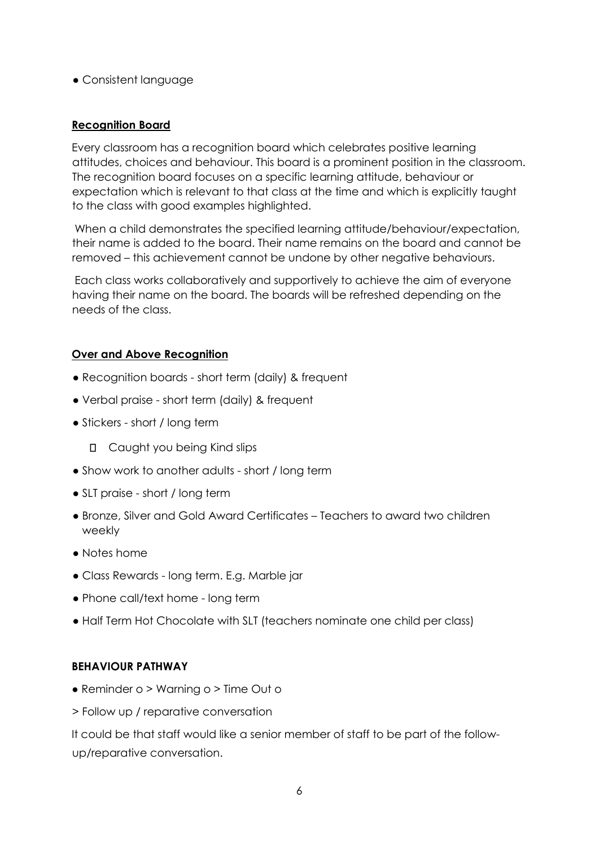● Consistent language

# **Recognition Board**

Every classroom has a recognition board which celebrates positive learning attitudes, choices and behaviour. This board is a prominent position in the classroom. The recognition board focuses on a specific learning attitude, behaviour or expectation which is relevant to that class at the time and which is explicitly taught to the class with good examples highlighted.

When a child demonstrates the specified learning attitude/behaviour/expectation, their name is added to the board. Their name remains on the board and cannot be removed – this achievement cannot be undone by other negative behaviours.

Each class works collaboratively and supportively to achieve the aim of everyone having their name on the board. The boards will be refreshed depending on the needs of the class.

# **Over and Above Recognition**

- Recognition boards short term (daily) & frequent
- Verbal praise short term (daily) & frequent
- Stickers short / long term
	- **D** Caught you being Kind slips
- Show work to another adults short / long term
- SLT praise short / long term
- Bronze, Silver and Gold Award Certificates Teachers to award two children weekly
- Notes home
- Class Rewards long term. E.g. Marble jar
- Phone call/text home long term
- Half Term Hot Chocolate with SLT (teachers nominate one child per class)

# **BEHAVIOUR PATHWAY**

- Reminder o > Warning o > Time Out o
- > Follow up / reparative conversation

It could be that staff would like a senior member of staff to be part of the followup/reparative conversation.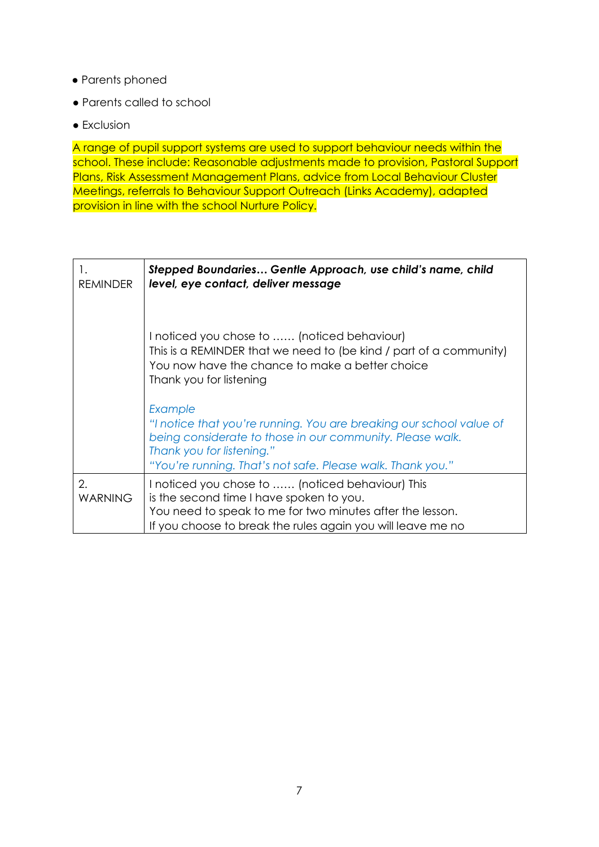- Parents phoned
- Parents called to school
- Exclusion

A range of pupil support systems are used to support behaviour needs within the school. These include: Reasonable adjustments made to provision, Pastoral Support Plans, Risk Assessment Management Plans, advice from Local Behaviour Cluster Meetings, referrals to Behaviour Support Outreach (Links Academy), adapted provision in line with the school Nurture Policy.

| 1.<br><b>REMINDER</b> | Stepped Boundaries Gentle Approach, use child's name, child<br>level, eye contact, deliver message                                                                                                                                     |
|-----------------------|----------------------------------------------------------------------------------------------------------------------------------------------------------------------------------------------------------------------------------------|
|                       | I noticed you chose to  (noticed behaviour)<br>This is a REMINDER that we need to (be kind / part of a community)<br>You now have the chance to make a better choice<br>Thank you for listening                                        |
|                       | Example<br>"I notice that you're running. You are breaking our school value of<br>being considerate to those in our community. Please walk.<br>Thank you for listening."<br>"You're running. That's not safe. Please walk. Thank you." |
| 2.<br><b>WARNING</b>  | I noticed you chose to  (noticed behaviour) This<br>is the second time I have spoken to you.<br>You need to speak to me for two minutes after the lesson.<br>If you choose to break the rules again you will leave me no               |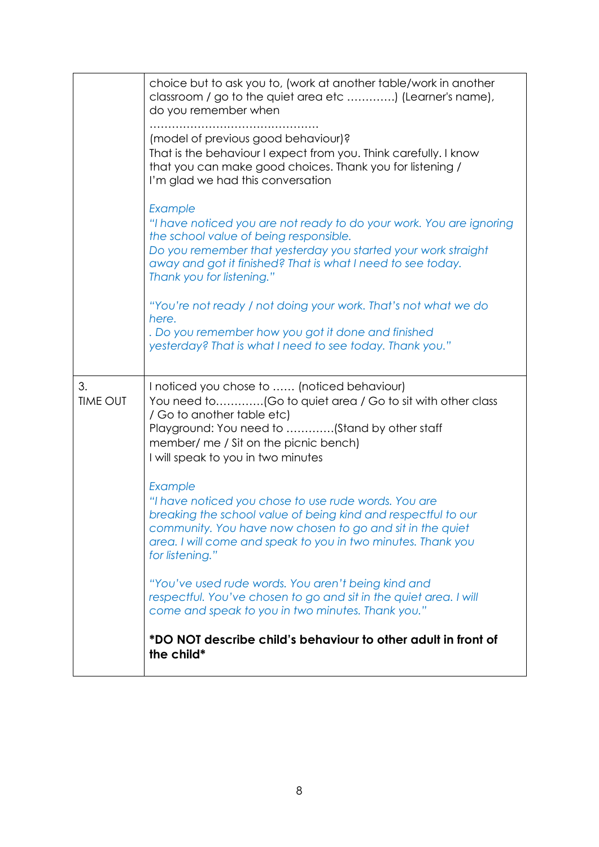|                       | choice but to ask you to, (work at another table/work in another<br>classroom / go to the quiet area etc ) (Learner's name),<br>do you remember when                                                                                                                                  |
|-----------------------|---------------------------------------------------------------------------------------------------------------------------------------------------------------------------------------------------------------------------------------------------------------------------------------|
|                       | (model of previous good behaviour)?<br>That is the behaviour I expect from you. Think carefully. I know<br>that you can make good choices. Thank you for listening /<br>I'm glad we had this conversation                                                                             |
|                       | Example<br>"I have noticed you are not ready to do your work. You are ignoring<br>the school value of being responsible.<br>Do you remember that yesterday you started your work straight<br>away and got it finished? That is what I need to see today.<br>Thank you for listening." |
|                       | "You're not ready / not doing your work. That's not what we do<br>here.<br>. Do you remember how you got it done and finished<br>yesterday? That is what I need to see today. Thank you."                                                                                             |
| 3.<br><b>TIME OUT</b> | I noticed you chose to  (noticed behaviour)<br>You need to(Go to quiet area / Go to sit with other class<br>/ Go to another table etc)<br>Playground: You need to (Stand by other staff<br>member/ me / Sit on the picnic bench)<br>I will speak to you in two minutes                |
|                       | Example<br>"I have noticed you chose to use rude words. You are<br>breaking the school value of being kind and respectful to our<br>community. You have now chosen to go and sit in the quiet<br>area. I will come and speak to you in two minutes. Thank you<br>for listening."      |
|                       |                                                                                                                                                                                                                                                                                       |
|                       | "You've used rude words. You aren't being kind and<br>respectful. You've chosen to go and sit in the quiet area. I will<br>come and speak to you in two minutes. Thank you."                                                                                                          |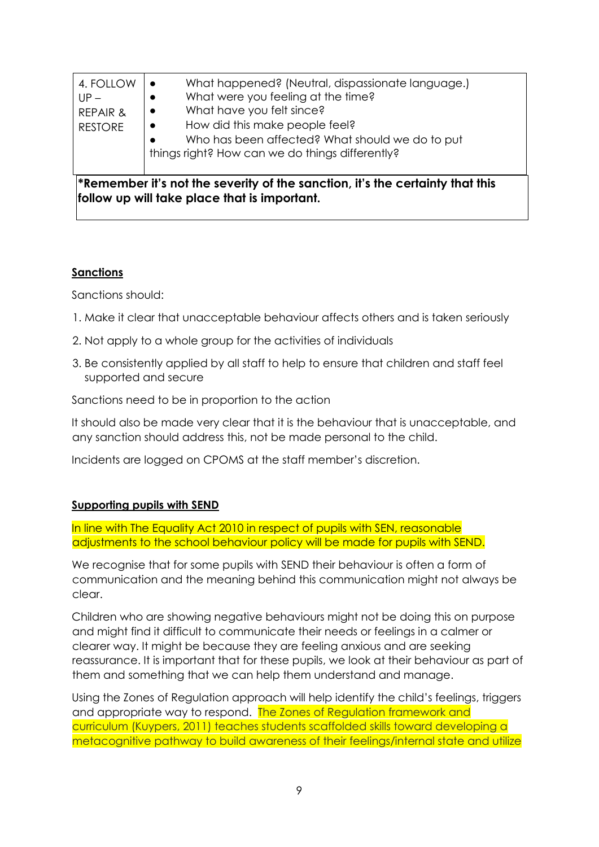| <b>RESTORE</b>                             | How did this make people feel?<br>$\bullet$<br>Who has been affected? What should we do to put<br>things right? How can we do things differently?<br>$\ast$ Remember it's not the severity of the sanction, it's the certainty that this |
|--------------------------------------------|------------------------------------------------------------------------------------------------------------------------------------------------------------------------------------------------------------------------------------------|
| 4. FOLLOW<br>$UP -$<br><b>REPAIR &amp;</b> | What happened? (Neutral, dispassionate language.)<br>What were you feeling at the time?<br>What have you felt since?<br>$\bullet$                                                                                                        |

#### **Sanctions**

Sanctions should:

- 1. Make it clear that unacceptable behaviour affects others and is taken seriously
- 2. Not apply to a whole group for the activities of individuals
- 3. Be consistently applied by all staff to help to ensure that children and staff feel supported and secure

Sanctions need to be in proportion to the action

It should also be made very clear that it is the behaviour that is unacceptable, and any sanction should address this, not be made personal to the child.

Incidents are logged on CPOMS at the staff member's discretion.

# **Supporting pupils with SEND**

In line with The Equality Act 2010 in respect of pupils with SEN, reasonable adjustments to the school behaviour policy will be made for pupils with SEND.

We recognise that for some pupils with SEND their behaviour is often a form of communication and the meaning behind this communication might not always be clear.

Children who are showing negative behaviours might not be doing this on purpose and might find it difficult to communicate their needs or feelings in a calmer or clearer way. It might be because they are feeling anxious and are seeking reassurance. It is important that for these pupils, we look at their behaviour as part of them and something that we can help them understand and manage.

Using the Zones of Regulation approach will help identify the child's feelings, triggers and appropriate way to respond. The Zones of Regulation framework and curriculum (Kuypers, 2011) teaches students scaffolded skills toward developing a metacognitive pathway to build awareness of their feelings/internal state and utilize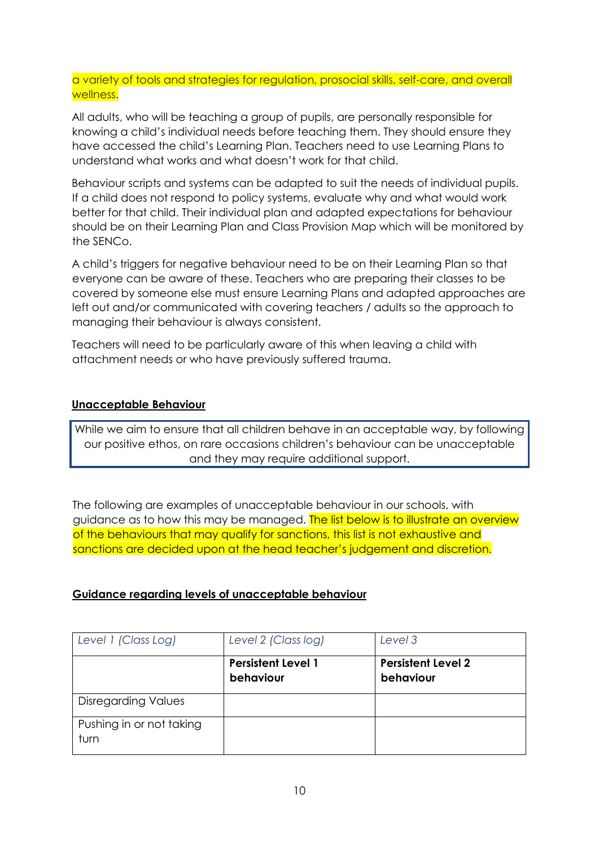a variety of tools and strategies for regulation, prosocial skills, self-care, and overall wellness.

All adults, who will be teaching a group of pupils, are personally responsible for knowing a child's individual needs before teaching them. They should ensure they have accessed the child's Learning Plan. Teachers need to use Learning Plans to understand what works and what doesn't work for that child.

Behaviour scripts and systems can be adapted to suit the needs of individual pupils. If a child does not respond to policy systems, evaluate why and what would work better for that child. Their individual plan and adapted expectations for behaviour should be on their Learning Plan and Class Provision Map which will be monitored by the SENCo.

A child's triggers for negative behaviour need to be on their Learning Plan so that everyone can be aware of these. Teachers who are preparing their classes to be covered by someone else must ensure Learning Plans and adapted approaches are left out and/or communicated with covering teachers / adults so the approach to managing their behaviour is always consistent.

Teachers will need to be particularly aware of this when leaving a child with attachment needs or who have previously suffered trauma.

# **Unacceptable Behaviour**

While we aim to ensure that all children behave in an acceptable way, by following our positive ethos, on rare occasions children's behaviour can be unacceptable and they may require additional support.

The following are examples of unacceptable behaviour in our schools, with guidance as to how this may be managed. The list below is to illustrate an overview of the behaviours that may qualify for sanctions, this list is not exhaustive and sanctions are decided upon at the head teacher's judgement and discretion.

# **Guidance regarding levels of unacceptable behaviour**

| Level 1 (Class Log)              | Level 2 (Class log)                    | Level 3                                |
|----------------------------------|----------------------------------------|----------------------------------------|
|                                  | <b>Persistent Level 1</b><br>behaviour | <b>Persistent Level 2</b><br>behaviour |
| <b>Disregarding Values</b>       |                                        |                                        |
| Pushing in or not taking<br>turn |                                        |                                        |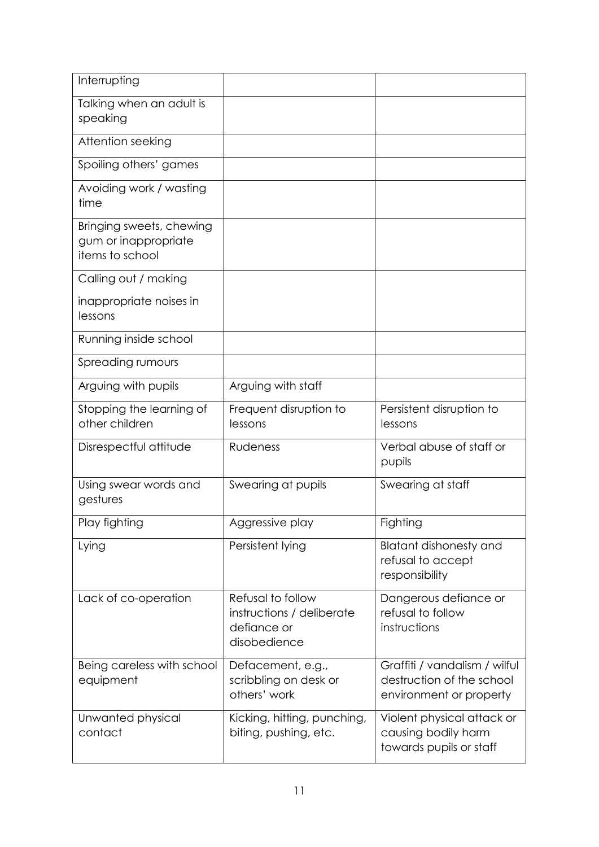| Interrupting                                                        |                                                                               |                                                                                       |
|---------------------------------------------------------------------|-------------------------------------------------------------------------------|---------------------------------------------------------------------------------------|
| Talking when an adult is<br>speaking                                |                                                                               |                                                                                       |
| Attention seeking                                                   |                                                                               |                                                                                       |
| Spoiling others' games                                              |                                                                               |                                                                                       |
| Avoiding work / wasting<br>time                                     |                                                                               |                                                                                       |
| Bringing sweets, chewing<br>gum or inappropriate<br>items to school |                                                                               |                                                                                       |
| Calling out / making                                                |                                                                               |                                                                                       |
| inappropriate noises in<br>lessons                                  |                                                                               |                                                                                       |
| Running inside school                                               |                                                                               |                                                                                       |
| Spreading rumours                                                   |                                                                               |                                                                                       |
| Arguing with pupils                                                 | Arguing with staff                                                            |                                                                                       |
| Stopping the learning of<br>other children                          | Frequent disruption to<br>lessons                                             | Persistent disruption to<br>lessons                                                   |
| Disrespectful attitude                                              | Rudeness                                                                      | Verbal abuse of staff or<br>pupils                                                    |
| Using swear words and<br>gestures                                   | Swearing at pupils                                                            | Swearing at staff                                                                     |
| Play fighting                                                       | Aggressive play                                                               | Fighting                                                                              |
| Lying                                                               | Persistent lying                                                              | <b>Blatant dishonesty and</b><br>refusal to accept<br>responsibility                  |
| Lack of co-operation                                                | Refusal to follow<br>instructions / deliberate<br>defiance or<br>disobedience | Dangerous defiance or<br>refusal to follow<br>instructions                            |
| Being careless with school<br>equipment                             | Defacement, e.g.,<br>scribbling on desk or<br>others' work                    | Graffiti / vandalism / wilful<br>destruction of the school<br>environment or property |
| Unwanted physical<br>contact                                        | Kicking, hitting, punching,<br>biting, pushing, etc.                          | Violent physical attack or<br>causing bodily harm<br>towards pupils or staff          |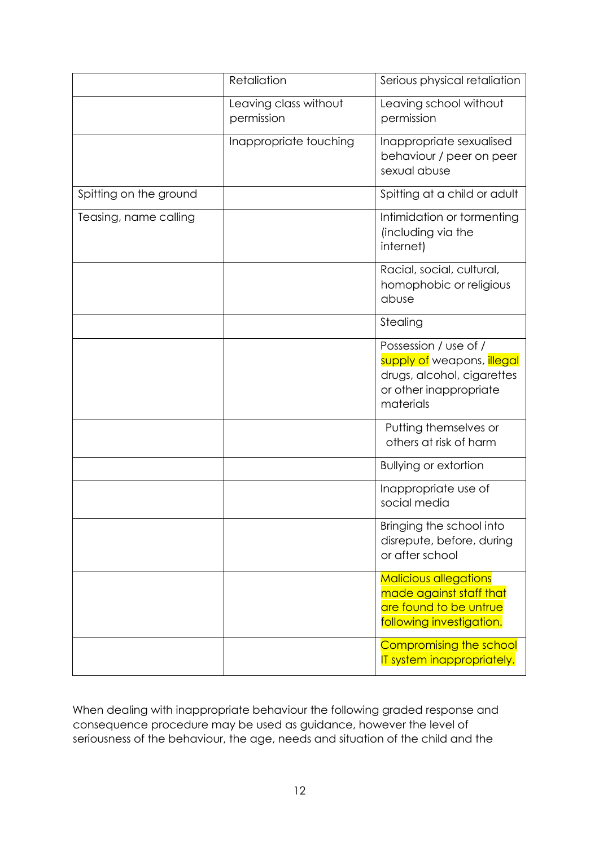|                        | Retaliation                         | Serious physical retaliation                                                                                             |
|------------------------|-------------------------------------|--------------------------------------------------------------------------------------------------------------------------|
|                        | Leaving class without<br>permission | Leaving school without<br>permission                                                                                     |
|                        | Inappropriate touching              | Inappropriate sexualised<br>behaviour / peer on peer<br>sexual abuse                                                     |
| Spitting on the ground |                                     | Spitting at a child or adult                                                                                             |
| Teasing, name calling  |                                     | Intimidation or tormenting<br>(including via the<br>internet)                                                            |
|                        |                                     | Racial, social, cultural,<br>homophobic or religious<br>abuse                                                            |
|                        |                                     | Stealing                                                                                                                 |
|                        |                                     | Possession / use of /<br>supply of weapons, illegal<br>drugs, alcohol, cigarettes<br>or other inappropriate<br>materials |
|                        |                                     | Putting themselves or<br>others at risk of harm                                                                          |
|                        |                                     | <b>Bullying or extortion</b>                                                                                             |
|                        |                                     | Inappropriate use of<br>social media                                                                                     |
|                        |                                     | Bringing the school into<br>disrepute, before, during<br>or after school                                                 |
|                        |                                     | <b>Malicious allegations</b><br>made against staff that<br>are found to be untrue<br>following investigation.            |
|                        |                                     | Compromising the school<br>IT system inappropriately.                                                                    |

When dealing with inappropriate behaviour the following graded response and consequence procedure may be used as guidance, however the level of seriousness of the behaviour, the age, needs and situation of the child and the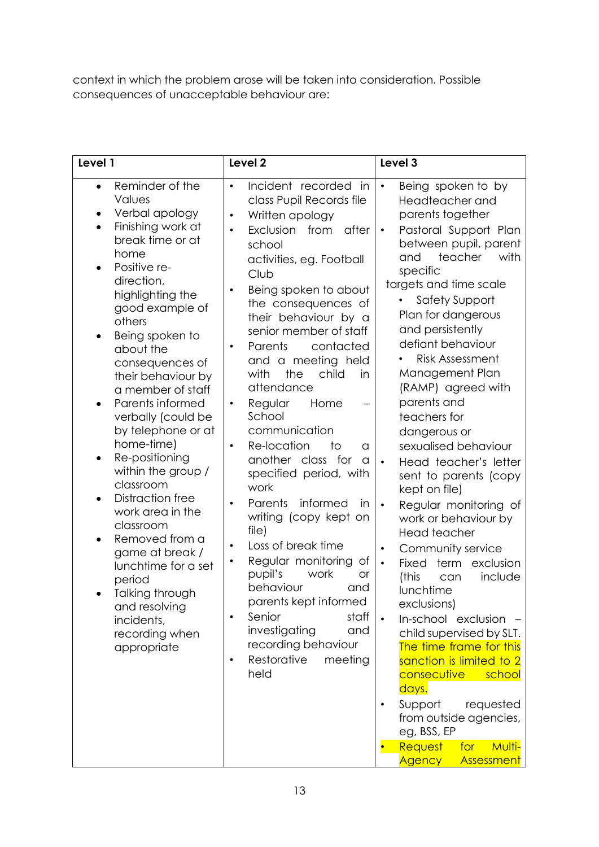context in which the problem arose will be taken into consideration. Possible consequences of unacceptable behaviour are:

| Level 1                                                                                                                                                                                                                                                                                                                                                                                                                                                                                                                                                                                                                                                          | Level <sub>2</sub>                                                                                                                                                                                                                                                                                                                                                                                                                                                                                                                                                                                                                                                                                                                                                                                                                                                                                                     | Level 3                                                                                                                                                                                                                                                                                                                                                                                                                                                                                                                                                                                                                                                                                                                                                                                                                                                                                                                                                                                                              |
|------------------------------------------------------------------------------------------------------------------------------------------------------------------------------------------------------------------------------------------------------------------------------------------------------------------------------------------------------------------------------------------------------------------------------------------------------------------------------------------------------------------------------------------------------------------------------------------------------------------------------------------------------------------|------------------------------------------------------------------------------------------------------------------------------------------------------------------------------------------------------------------------------------------------------------------------------------------------------------------------------------------------------------------------------------------------------------------------------------------------------------------------------------------------------------------------------------------------------------------------------------------------------------------------------------------------------------------------------------------------------------------------------------------------------------------------------------------------------------------------------------------------------------------------------------------------------------------------|----------------------------------------------------------------------------------------------------------------------------------------------------------------------------------------------------------------------------------------------------------------------------------------------------------------------------------------------------------------------------------------------------------------------------------------------------------------------------------------------------------------------------------------------------------------------------------------------------------------------------------------------------------------------------------------------------------------------------------------------------------------------------------------------------------------------------------------------------------------------------------------------------------------------------------------------------------------------------------------------------------------------|
| Reminder of the<br>$\bullet$<br>Values<br>Verbal apology<br>$\bullet$<br>Finishing work at<br>break time or at<br>home<br>Positive re-<br>direction,<br>highlighting the<br>good example of<br>others<br>Being spoken to<br>about the<br>consequences of<br>their behaviour by<br>a member of staff<br>Parents informed<br>verbally (could be<br>by telephone or at<br>home-time)<br>Re-positioning<br>within the group /<br>classroom<br><b>Distraction free</b><br>work area in the<br>classroom<br>Removed from a<br>game at break /<br>lunchtime for a set<br>period<br>Talking through<br>٠<br>and resolving<br>incidents,<br>recording when<br>appropriate | Incident recorded<br>in<br>$\bullet$<br>class Pupil Records file<br>Written apology<br>$\bullet$<br>Exclusion<br>from<br>after<br>$\bullet$<br>school<br>activities, eg. Football<br>Club<br>Being spoken to about<br>the consequences of<br>their behaviour by a<br>senior member of staff<br>Parents<br>contacted<br>$\bullet$<br>and a meeting held<br>the<br>child<br>with<br>in<br>attendance<br>Regular<br>Home<br>$\bullet$<br>School<br>communication<br>Re-location<br>to<br>$\bullet$<br>a<br>another class for<br>a<br>specified period, with<br>work<br>Parents<br>informed<br>$\bullet$<br>in<br>writing (copy kept on<br>file)<br>Loss of break time<br>$\bullet$<br>Regular monitoring<br>$\bullet$<br>Оf<br>pupil's<br>work<br><b>or</b><br>behaviour<br>and<br>parents kept informed<br>Senior<br>staff<br>investigating<br>and<br>recording behaviour<br>Restorative<br>meeting<br>$\bullet$<br>held | Being spoken to by<br>$\bullet$<br>Headteacher and<br>parents together<br>Pastoral Support Plan<br>$\bullet$<br>between pupil, parent<br>with<br>teacher<br>and<br>specific<br>targets and time scale<br><b>Safety Support</b><br>Plan for dangerous<br>and persistently<br>defiant behaviour<br><b>Risk Assessment</b><br>Management Plan<br>(RAMP) agreed with<br>parents and<br>teachers for<br>dangerous or<br>sexualised behaviour<br>Head teacher's letter<br>sent to parents (copy<br>kept on file)<br>Regular monitoring of<br>$\bullet$<br>work or behaviour by<br>Head teacher<br>Community service<br>Fixed<br>exclusion<br>term<br>$\bullet$<br>include<br>(this<br>can<br>lunchtime<br>exclusions)<br>In-school exclusion -<br>$\bullet$<br>child supervised by SLT.<br>The time frame for this<br>sanction is limited to 2<br>school<br><b>consecutive</b><br>days.<br>Support<br>requested<br>from outside agencies,<br>eg, BSS, EP<br>Request<br><b>Multi-</b><br>for<br><b>Agency</b><br>Assessment |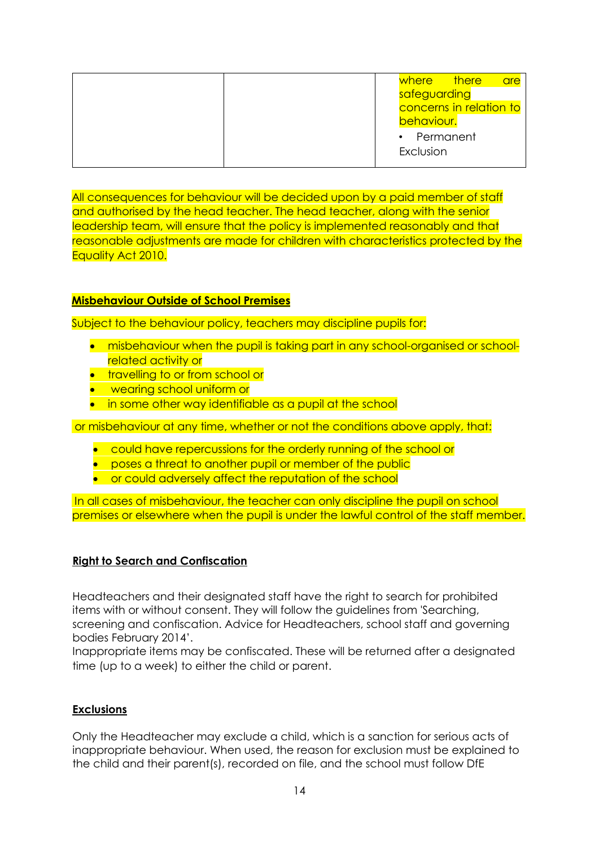|  | where there             |  | <b>are</b> |
|--|-------------------------|--|------------|
|  | safeguarding            |  |            |
|  | concerns in relation to |  |            |
|  | behaviour.              |  |            |
|  | • Permanent             |  |            |
|  | Exclusion               |  |            |
|  |                         |  |            |

All consequences for behaviour will be decided upon by a paid member of staff and authorised by the head teacher. The head teacher, along with the senior leadership team, will ensure that the policy is implemented reasonably and that reasonable adjustments are made for children with characteristics protected by the Equality Act 2010.

#### **Misbehaviour Outside of School Premises**

Subject to the behaviour policy, teachers may discipline pupils for:

- **•** misbehaviour when the pupil is taking part in any school-organised or schoolrelated activity or
- **•** travelling to or from school or
- **•** wearing school uniform or
- in some other way identifiable as a pupil at the school

or misbehaviour at any time, whether or not the conditions above apply, that:

- **•** could have repercussions for the orderly running of the school or
- **•** poses a threat to another pupil or member of the public
- **•** or could adversely affect the reputation of the school

In all cases of misbehaviour, the teacher can only discipline the pupil on school premises or elsewhere when the pupil is under the lawful control of the staff member.

#### **Right to Search and Confiscation**

Headteachers and their designated staff have the right to search for prohibited items with or without consent. They will follow the guidelines from 'Searching, screening and confiscation. Advice for Headteachers, school staff and governing bodies February 2014'.

Inappropriate items may be confiscated. These will be returned after a designated time (up to a week) to either the child or parent.

# **Exclusions**

Only the Headteacher may exclude a child, which is a sanction for serious acts of inappropriate behaviour. When used, the reason for exclusion must be explained to the child and their parent(s), recorded on file, and the school must follow DfE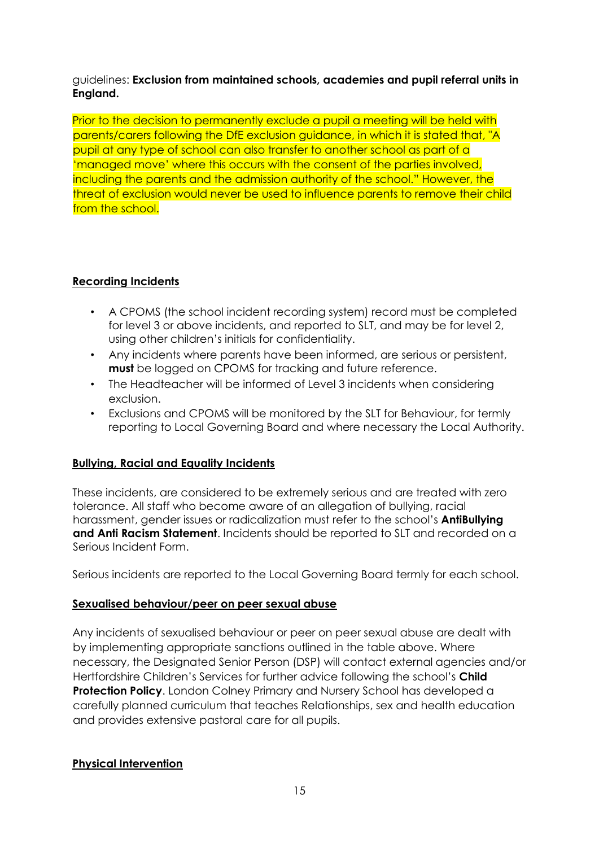# guidelines: **Exclusion from maintained schools, academies and pupil referral units in England.**

Prior to the decision to permanently exclude a pupil a meeting will be held with parents/carers following the DfE exclusion guidance, in which it is stated that, "A pupil at any type of school can also transfer to another school as part of a 'managed move' where this occurs with the consent of the parties involved, including the parents and the admission authority of the school." However, the threat of exclusion would never be used to influence parents to remove their child from the school.

# **Recording Incidents**

- A CPOMS (the school incident recording system) record must be completed for level 3 or above incidents, and reported to SLT, and may be for level 2, using other children's initials for confidentiality.
- Any incidents where parents have been informed, are serious or persistent, **must** be logged on CPOMS for tracking and future reference.
- The Headteacher will be informed of Level 3 incidents when considering exclusion.
- Exclusions and CPOMS will be monitored by the SLT for Behaviour, for termly reporting to Local Governing Board and where necessary the Local Authority.

# **Bullying, Racial and Equality Incidents**

These incidents, are considered to be extremely serious and are treated with zero tolerance. All staff who become aware of an allegation of bullying, racial harassment, gender issues or radicalization must refer to the school's **AntiBullying and Anti Racism Statement**. Incidents should be reported to SLT and recorded on a Serious Incident Form.

Serious incidents are reported to the Local Governing Board termly for each school.

# **Sexualised behaviour/peer on peer sexual abuse**

Any incidents of sexualised behaviour or peer on peer sexual abuse are dealt with by implementing appropriate sanctions outlined in the table above. Where necessary, the Designated Senior Person (DSP) will contact external agencies and/or Hertfordshire Children's Services for further advice following the school's **Child Protection Policy**. London Colney Primary and Nursery School has developed a carefully planned curriculum that teaches Relationships, sex and health education and provides extensive pastoral care for all pupils.

# **Physical Intervention**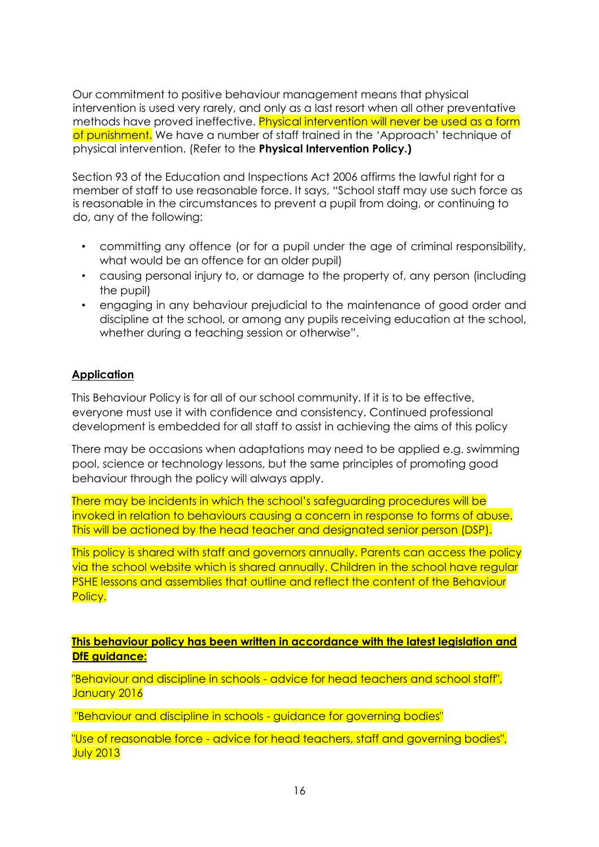Our commitment to positive behaviour management means that physical intervention is used very rarely, and only as a last resort when all other preventative methods have proved ineffective. Physical intervention will never be used as a form of punishment. We have a number of staff trained in the 'Approach' technique of physical intervention. (Refer to the **Physical Intervention Policy.)** 

Section 93 of the Education and Inspections Act 2006 affirms the lawful right for a member of staff to use reasonable force. It says, "School staff may use such force as is reasonable in the circumstances to prevent a pupil from doing, or continuing to do, any of the following:

- committing any offence (or for a pupil under the age of criminal responsibility, what would be an offence for an older pupil)
- causing personal injury to, or damage to the property of, any person (including the pupil)
- engaging in any behaviour prejudicial to the maintenance of good order and discipline at the school, or among any pupils receiving education at the school, whether during a teaching session or otherwise".

# **Application**

This Behaviour Policy is for all of our school community. If it is to be effective, everyone must use it with confidence and consistency. Continued professional development is embedded for all staff to assist in achieving the aims of this policy

There may be occasions when adaptations may need to be applied e.g. swimming pool, science or technology lessons, but the same principles of promoting good behaviour through the policy will always apply.

There may be incidents in which the school's safeguarding procedures will be invoked in relation to behaviours causing a concern in response to forms of abuse. This will be actioned by the head teacher and designated senior person (DSP).

This policy is shared with staff and governors annually. Parents can access the policy via the school website which is shared annually. Children in the school have regular PSHE lessons and assemblies that outline and reflect the content of the Behaviour Policy.

**This behaviour policy has been written in accordance with the latest legislation and DfE guidance:**

"Behaviour and discipline in schools - advice for head teachers and school staff", January 2016

"Behaviour and discipline in schools - guidance for governing bodies"

"Use of reasonable force - advice for head teachers, staff and governing bodies", July 2013